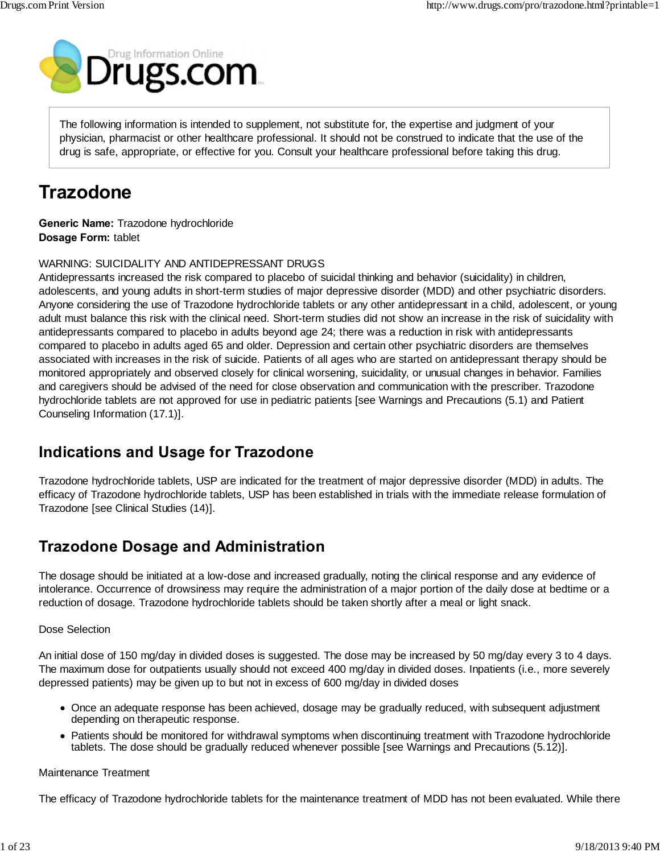

The following information is intended to supplement, not substitute for, the expertise and judgment of your physician, pharmacist or other healthcare professional. It should not be construed to indicate that the use of the drug is safe, appropriate, or effective for you. Consult your healthcare professional before taking this drug.

# **Trazodone**

**Generic Name:** Trazodone hydrochloride **Dosage Form:** tablet

### WARNING: SUICIDALITY AND ANTIDEPRESSANT DRUGS

Antidepressants increased the risk compared to placebo of suicidal thinking and behavior (suicidality) in children, adolescents, and young adults in short-term studies of major depressive disorder (MDD) and other psychiatric disorders. Anyone considering the use of Trazodone hydrochloride tablets or any other antidepressant in a child, adolescent, or young adult must balance this risk with the clinical need. Short-term studies did not show an increase in the risk of suicidality with antidepressants compared to placebo in adults beyond age 24; there was a reduction in risk with antidepressants compared to placebo in adults aged 65 and older. Depression and certain other psychiatric disorders are themselves associated with increases in the risk of suicide. Patients of all ages who are started on antidepressant therapy should be monitored appropriately and observed closely for clinical worsening, suicidality, or unusual changes in behavior. Families and caregivers should be advised of the need for close observation and communication with the prescriber. Trazodone hydrochloride tablets are not approved for use in pediatric patients [see Warnings and Precautions (5.1) and Patient Counseling Information (17.1)].

# **Indications and Usage for Trazodone**

Trazodone hydrochloride tablets, USP are indicated for the treatment of major depressive disorder (MDD) in adults. The efficacy of Trazodone hydrochloride tablets, USP has been established in trials with the immediate release formulation of Trazodone [see Clinical Studies (14)].

# **Trazodone Dosage and Administration**

The dosage should be initiated at a low-dose and increased gradually, noting the clinical response and any evidence of intolerance. Occurrence of drowsiness may require the administration of a major portion of the daily dose at bedtime or a reduction of dosage. Trazodone hydrochloride tablets should be taken shortly after a meal or light snack.

#### Dose Selection

An initial dose of 150 mg/day in divided doses is suggested. The dose may be increased by 50 mg/day every 3 to 4 days. The maximum dose for outpatients usually should not exceed 400 mg/day in divided doses. Inpatients (i.e., more severely depressed patients) may be given up to but not in excess of 600 mg/day in divided doses

- Once an adequate response has been achieved, dosage may be gradually reduced, with subsequent adjustment depending on therapeutic response.
- Patients should be monitored for withdrawal symptoms when discontinuing treatment with Trazodone hydrochloride tablets. The dose should be gradually reduced whenever possible [see Warnings and Precautions (5.12)].

#### Maintenance Treatment

The efficacy of Trazodone hydrochloride tablets for the maintenance treatment of MDD has not been evaluated. While there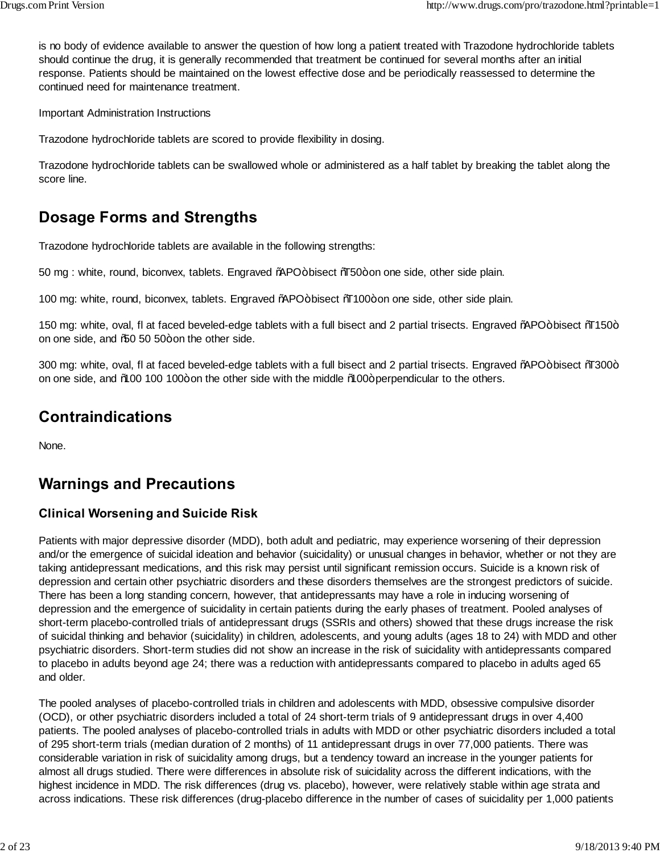is no body of evidence available to answer the question of how long a patient treated with Trazodone hydrochloride tablets should continue the drug, it is generally recommended that treatment be continued for several months after an initial response. Patients should be maintained on the lowest effective dose and be periodically reassessed to determine the continued need for maintenance treatment.

Important Administration Instructions

Trazodone hydrochloride tablets are scored to provide flexibility in dosing.

Trazodone hydrochloride tablets can be swallowed whole or administered as a half tablet by breaking the tablet along the score line.

# **Dosage Forms and Strengths**

Trazodone hydrochloride tablets are available in the following strengths:

50 mg : white, round, biconvex, tablets. Engraved %APO+bisect %T50+on one side, other side plain.

100 mg: white, round, biconvex, tablets. Engraved %PO+bisect %100+on one side, other side plain.

150 mg: white, oval, fl at faced beveled-edge tablets with a full bisect and 2 partial trisects. Engraved %APO+bisect %T150+ on one side, and  $%0.5050+$  on the other side.

300 mg: white, oval, fl at faced beveled-edge tablets with a full bisect and 2 partial trisects. Engraved %APO+bisect %T300+ on one side, and %400 100 100+on the other side with the middle %400+perpendicular to the others.

# **Contraindications**

None.

# **Warnings and Precautions**

## **Clinical Worsening and Suicide Risk**

Patients with major depressive disorder (MDD), both adult and pediatric, may experience worsening of their depression and/or the emergence of suicidal ideation and behavior (suicidality) or unusual changes in behavior, whether or not they are taking antidepressant medications, and this risk may persist until significant remission occurs. Suicide is a known risk of depression and certain other psychiatric disorders and these disorders themselves are the strongest predictors of suicide. There has been a long standing concern, however, that antidepressants may have a role in inducing worsening of depression and the emergence of suicidality in certain patients during the early phases of treatment. Pooled analyses of short-term placebo-controlled trials of antidepressant drugs (SSRIs and others) showed that these drugs increase the risk of suicidal thinking and behavior (suicidality) in children, adolescents, and young adults (ages 18 to 24) with MDD and other psychiatric disorders. Short-term studies did not show an increase in the risk of suicidality with antidepressants compared to placebo in adults beyond age 24; there was a reduction with antidepressants compared to placebo in adults aged 65 and older.

The pooled analyses of placebo-controlled trials in children and adolescents with MDD, obsessive compulsive disorder (OCD), or other psychiatric disorders included a total of 24 short-term trials of 9 antidepressant drugs in over 4,400 patients. The pooled analyses of placebo-controlled trials in adults with MDD or other psychiatric disorders included a total of 295 short-term trials (median duration of 2 months) of 11 antidepressant drugs in over 77,000 patients. There was considerable variation in risk of suicidality among drugs, but a tendency toward an increase in the younger patients for almost all drugs studied. There were differences in absolute risk of suicidality across the different indications, with the highest incidence in MDD. The risk differences (drug vs. placebo), however, were relatively stable within age strata and across indications. These risk differences (drug-placebo difference in the number of cases of suicidality per 1,000 patients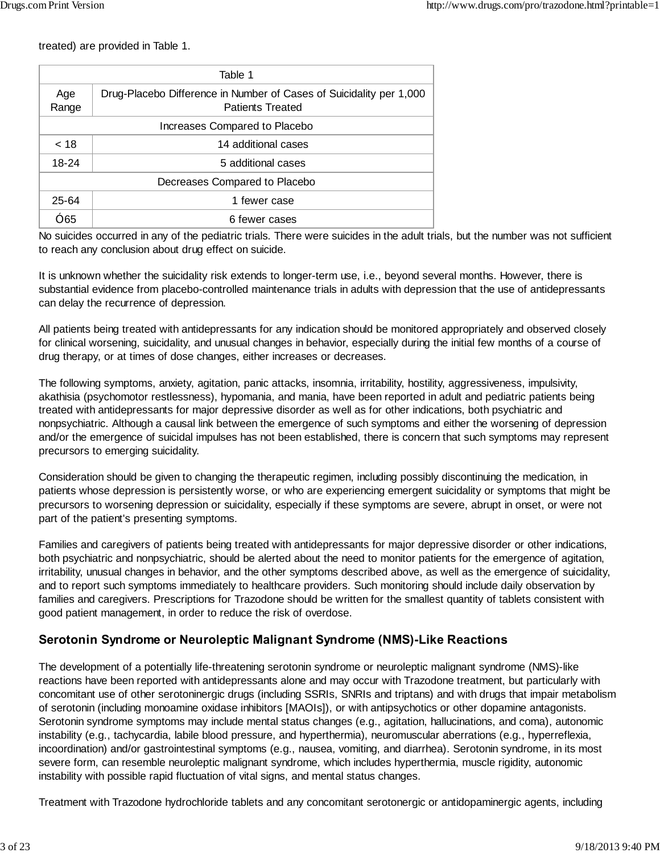treated) are provided in Table 1.

|              | Table 1                                                                                        |
|--------------|------------------------------------------------------------------------------------------------|
| Age<br>Range | Drug-Placebo Difference in Number of Cases of Suicidality per 1,000<br><b>Patients Treated</b> |
|              | Increases Compared to Placebo                                                                  |
| < 18         | 14 additional cases                                                                            |
| 18-24        | 5 additional cases                                                                             |
|              | Decreases Compared to Placebo                                                                  |
| $25 - 64$    | 1 fewer case                                                                                   |
| 65           | 6 fewer cases                                                                                  |

No suicides occurred in any of the pediatric trials. There were suicides in the adult trials, but the number was not sufficient to reach any conclusion about drug effect on suicide.

It is unknown whether the suicidality risk extends to longer-term use, i.e., beyond several months. However, there is substantial evidence from placebo-controlled maintenance trials in adults with depression that the use of antidepressants can delay the recurrence of depression.

All patients being treated with antidepressants for any indication should be monitored appropriately and observed closely for clinical worsening, suicidality, and unusual changes in behavior, especially during the initial few months of a course of drug therapy, or at times of dose changes, either increases or decreases.

The following symptoms, anxiety, agitation, panic attacks, insomnia, irritability, hostility, aggressiveness, impulsivity, akathisia (psychomotor restlessness), hypomania, and mania, have been reported in adult and pediatric patients being treated with antidepressants for major depressive disorder as well as for other indications, both psychiatric and nonpsychiatric. Although a causal link between the emergence of such symptoms and either the worsening of depression and/or the emergence of suicidal impulses has not been established, there is concern that such symptoms may represent precursors to emerging suicidality.

Consideration should be given to changing the therapeutic regimen, including possibly discontinuing the medication, in patients whose depression is persistently worse, or who are experiencing emergent suicidality or symptoms that might be precursors to worsening depression or suicidality, especially if these symptoms are severe, abrupt in onset, or were not part of the patient's presenting symptoms.

Families and caregivers of patients being treated with antidepressants for major depressive disorder or other indications, both psychiatric and nonpsychiatric, should be alerted about the need to monitor patients for the emergence of agitation, irritability, unusual changes in behavior, and the other symptoms described above, as well as the emergence of suicidality, and to report such symptoms immediately to healthcare providers. Such monitoring should include daily observation by families and caregivers. Prescriptions for Trazodone should be written for the smallest quantity of tablets consistent with good patient management, in order to reduce the risk of overdose.

## **Serotonin Syndrome or Neuroleptic Malignant Syndrome (NMS)-Like Reactions**

The development of a potentially life-threatening serotonin syndrome or neuroleptic malignant syndrome (NMS)-like reactions have been reported with antidepressants alone and may occur with Trazodone treatment, but particularly with concomitant use of other serotoninergic drugs (including SSRIs, SNRIs and triptans) and with drugs that impair metabolism of serotonin (including monoamine oxidase inhibitors [MAOIs]), or with antipsychotics or other dopamine antagonists. Serotonin syndrome symptoms may include mental status changes (e.g., agitation, hallucinations, and coma), autonomic instability (e.g., tachycardia, labile blood pressure, and hyperthermia), neuromuscular aberrations (e.g., hyperreflexia, incoordination) and/or gastrointestinal symptoms (e.g., nausea, vomiting, and diarrhea). Serotonin syndrome, in its most severe form, can resemble neuroleptic malignant syndrome, which includes hyperthermia, muscle rigidity, autonomic instability with possible rapid fluctuation of vital signs, and mental status changes.

Treatment with Trazodone hydrochloride tablets and any concomitant serotonergic or antidopaminergic agents, including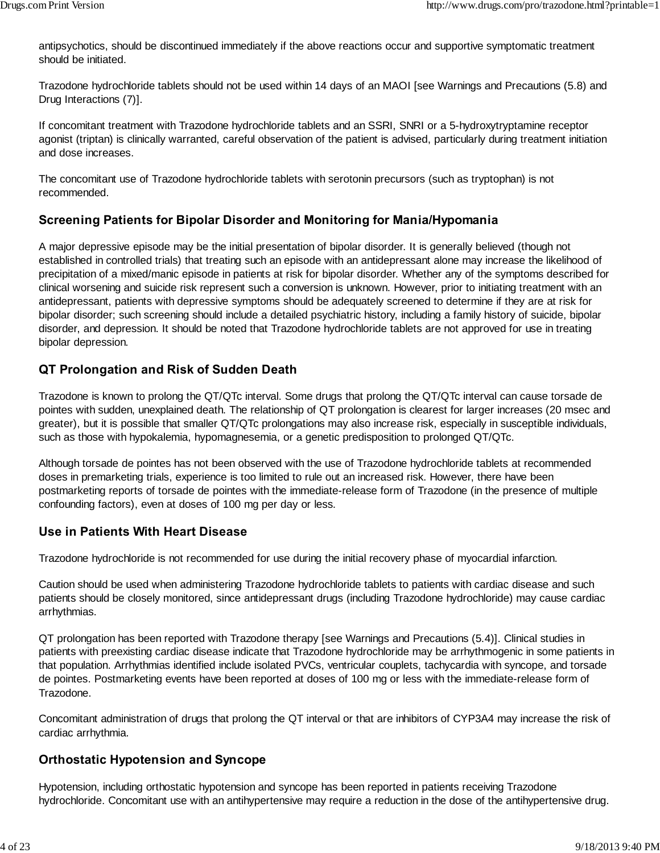antipsychotics, should be discontinued immediately if the above reactions occur and supportive symptomatic treatment should be initiated.

Trazodone hydrochloride tablets should not be used within 14 days of an MAOI [see Warnings and Precautions (5.8) and Drug Interactions (7)].

If concomitant treatment with Trazodone hydrochloride tablets and an SSRI, SNRI or a 5-hydroxytryptamine receptor agonist (triptan) is clinically warranted, careful observation of the patient is advised, particularly during treatment initiation and dose increases.

The concomitant use of Trazodone hydrochloride tablets with serotonin precursors (such as tryptophan) is not recommended.

## **Screening Patients for Bipolar Disorder and Monitoring for Mania/Hypomania**

A major depressive episode may be the initial presentation of bipolar disorder. It is generally believed (though not established in controlled trials) that treating such an episode with an antidepressant alone may increase the likelihood of precipitation of a mixed/manic episode in patients at risk for bipolar disorder. Whether any of the symptoms described for clinical worsening and suicide risk represent such a conversion is unknown. However, prior to initiating treatment with an antidepressant, patients with depressive symptoms should be adequately screened to determine if they are at risk for bipolar disorder; such screening should include a detailed psychiatric history, including a family history of suicide, bipolar disorder, and depression. It should be noted that Trazodone hydrochloride tablets are not approved for use in treating bipolar depression.

## **QT Prolongation and Risk of Sudden Death**

Trazodone is known to prolong the QT/QTc interval. Some drugs that prolong the QT/QTc interval can cause torsade de pointes with sudden, unexplained death. The relationship of QT prolongation is clearest for larger increases (20 msec and greater), but it is possible that smaller QT/QTc prolongations may also increase risk, especially in susceptible individuals, such as those with hypokalemia, hypomagnesemia, or a genetic predisposition to prolonged QT/QTc.

Although torsade de pointes has not been observed with the use of Trazodone hydrochloride tablets at recommended doses in premarketing trials, experience is too limited to rule out an increased risk. However, there have been postmarketing reports of torsade de pointes with the immediate-release form of Trazodone (in the presence of multiple confounding factors), even at doses of 100 mg per day or less.

### **Use in Patients With Heart Disease**

Trazodone hydrochloride is not recommended for use during the initial recovery phase of myocardial infarction.

Caution should be used when administering Trazodone hydrochloride tablets to patients with cardiac disease and such patients should be closely monitored, since antidepressant drugs (including Trazodone hydrochloride) may cause cardiac arrhythmias.

QT prolongation has been reported with Trazodone therapy [see Warnings and Precautions (5.4)]. Clinical studies in patients with preexisting cardiac disease indicate that Trazodone hydrochloride may be arrhythmogenic in some patients in that population. Arrhythmias identified include isolated PVCs, ventricular couplets, tachycardia with syncope, and torsade de pointes. Postmarketing events have been reported at doses of 100 mg or less with the immediate-release form of Trazodone.

Concomitant administration of drugs that prolong the QT interval or that are inhibitors of CYP3A4 may increase the risk of cardiac arrhythmia.

## **Orthostatic Hypotension and Syncope**

Hypotension, including orthostatic hypotension and syncope has been reported in patients receiving Trazodone hydrochloride. Concomitant use with an antihypertensive may require a reduction in the dose of the antihypertensive drug.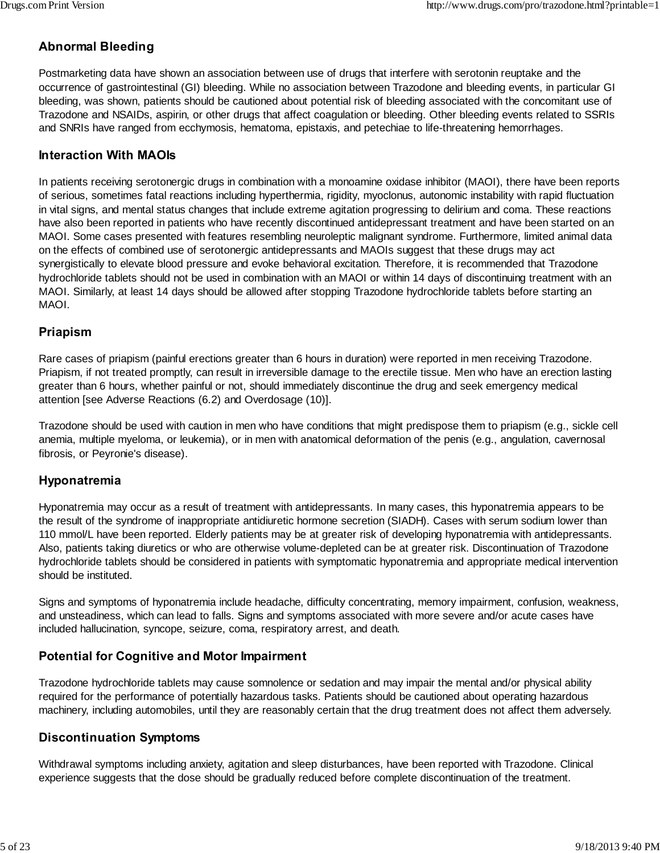## **Abnormal Bleeding**

Postmarketing data have shown an association between use of drugs that interfere with serotonin reuptake and the occurrence of gastrointestinal (GI) bleeding. While no association between Trazodone and bleeding events, in particular GI bleeding, was shown, patients should be cautioned about potential risk of bleeding associated with the concomitant use of Trazodone and NSAIDs, aspirin, or other drugs that affect coagulation or bleeding. Other bleeding events related to SSRIs and SNRIs have ranged from ecchymosis, hematoma, epistaxis, and petechiae to life-threatening hemorrhages.

## **Interaction With MAOIs**

In patients receiving serotonergic drugs in combination with a monoamine oxidase inhibitor (MAOI), there have been reports of serious, sometimes fatal reactions including hyperthermia, rigidity, myoclonus, autonomic instability with rapid fluctuation in vital signs, and mental status changes that include extreme agitation progressing to delirium and coma. These reactions have also been reported in patients who have recently discontinued antidepressant treatment and have been started on an MAOI. Some cases presented with features resembling neuroleptic malignant syndrome. Furthermore, limited animal data on the effects of combined use of serotonergic antidepressants and MAOIs suggest that these drugs may act synergistically to elevate blood pressure and evoke behavioral excitation. Therefore, it is recommended that Trazodone hydrochloride tablets should not be used in combination with an MAOI or within 14 days of discontinuing treatment with an MAOI. Similarly, at least 14 days should be allowed after stopping Trazodone hydrochloride tablets before starting an MAOI.

## **Priapism**

Rare cases of priapism (painful erections greater than 6 hours in duration) were reported in men receiving Trazodone. Priapism, if not treated promptly, can result in irreversible damage to the erectile tissue. Men who have an erection lasting greater than 6 hours, whether painful or not, should immediately discontinue the drug and seek emergency medical attention [see Adverse Reactions (6.2) and Overdosage (10)].

Trazodone should be used with caution in men who have conditions that might predispose them to priapism (e.g., sickle cell anemia, multiple myeloma, or leukemia), or in men with anatomical deformation of the penis (e.g., angulation, cavernosal fibrosis, or Peyronie's disease).

## **Hyponatremia**

Hyponatremia may occur as a result of treatment with antidepressants. In many cases, this hyponatremia appears to be the result of the syndrome of inappropriate antidiuretic hormone secretion (SIADH). Cases with serum sodium lower than 110 mmol/L have been reported. Elderly patients may be at greater risk of developing hyponatremia with antidepressants. Also, patients taking diuretics or who are otherwise volume-depleted can be at greater risk. Discontinuation of Trazodone hydrochloride tablets should be considered in patients with symptomatic hyponatremia and appropriate medical intervention should be instituted.

Signs and symptoms of hyponatremia include headache, difficulty concentrating, memory impairment, confusion, weakness, and unsteadiness, which can lead to falls. Signs and symptoms associated with more severe and/or acute cases have included hallucination, syncope, seizure, coma, respiratory arrest, and death.

## **Potential for Cognitive and Motor Impairment**

Trazodone hydrochloride tablets may cause somnolence or sedation and may impair the mental and/or physical ability required for the performance of potentially hazardous tasks. Patients should be cautioned about operating hazardous machinery, including automobiles, until they are reasonably certain that the drug treatment does not affect them adversely.

## **Discontinuation Symptoms**

Withdrawal symptoms including anxiety, agitation and sleep disturbances, have been reported with Trazodone. Clinical experience suggests that the dose should be gradually reduced before complete discontinuation of the treatment.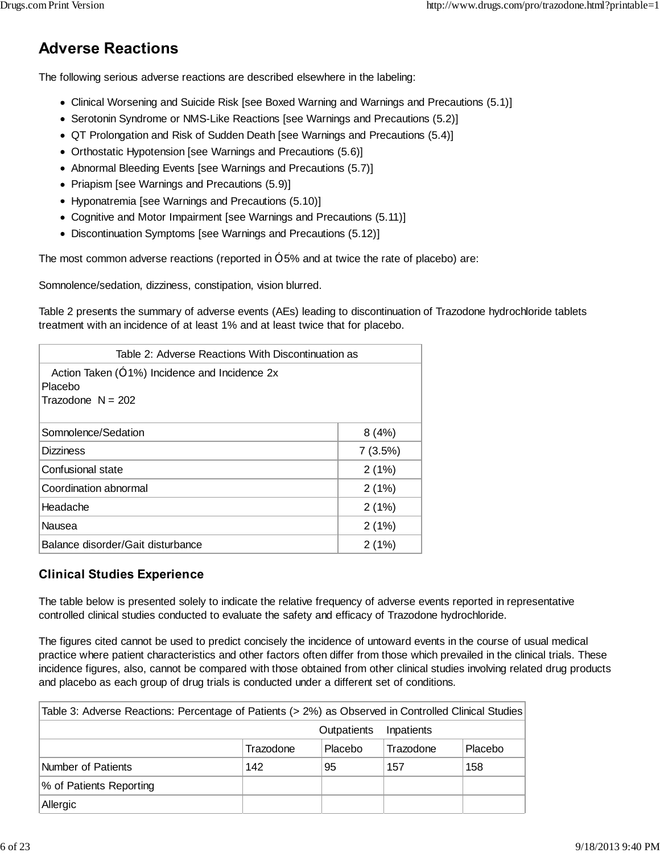# **Adverse Reactions**

The following serious adverse reactions are described elsewhere in the labeling:

- Clinical Worsening and Suicide Risk [see Boxed Warning and Warnings and Precautions (5.1)]
- Serotonin Syndrome or NMS-Like Reactions [see Warnings and Precautions (5.2)]
- QT Prolongation and Risk of Sudden Death [see Warnings and Precautions (5.4)]
- Orthostatic Hypotension [see Warnings and Precautions (5.6)]
- Abnormal Bleeding Events [see Warnings and Precautions (5.7)]
- Priapism [see Warnings and Precautions (5.9)]
- Hyponatremia [see Warnings and Precautions (5.10)]
- Cognitive and Motor Impairment [see Warnings and Precautions (5.11)]
- Discontinuation Symptoms [see Warnings and Precautions (5.12)]

The most common adverse reactions (reported in  $-5\%$  and at twice the rate of placebo) are:

Somnolence/sedation, dizziness, constipation, vision blurred.

Table 2 presents the summary of adverse events (AEs) leading to discontinuation of Trazodone hydrochloride tablets treatment with an incidence of at least 1% and at least twice that for placebo.

| Table 2: Adverse Reactions With Discontinuation as                               |         |  |  |  |  |
|----------------------------------------------------------------------------------|---------|--|--|--|--|
| Action Taken (7 1%) Incidence and Incidence 2x<br>Placebo<br>Trazodone $N = 202$ |         |  |  |  |  |
| Somnolence/Sedation                                                              | 8(4%)   |  |  |  |  |
| <b>Dizziness</b>                                                                 | 7(3.5%) |  |  |  |  |
| Confusional state                                                                | 2(1%)   |  |  |  |  |
| Coordination abnormal                                                            | 2(1%)   |  |  |  |  |
| Headache                                                                         | 2(1%)   |  |  |  |  |
| Nausea                                                                           | 2(1%)   |  |  |  |  |
| Balance disorder/Gait disturbance                                                | 2(1%)   |  |  |  |  |

### **Clinical Studies Experience**

The table below is presented solely to indicate the relative frequency of adverse events reported in representative controlled clinical studies conducted to evaluate the safety and efficacy of Trazodone hydrochloride.

The figures cited cannot be used to predict concisely the incidence of untoward events in the course of usual medical practice where patient characteristics and other factors often differ from those which prevailed in the clinical trials. These incidence figures, also, cannot be compared with those obtained from other clinical studies involving related drug products and placebo as each group of drug trials is conducted under a different set of conditions.

| Table 3: Adverse Reactions: Percentage of Patients (> 2%) as Observed in Controlled Clinical Studies |           |         |           |         |  |  |  |
|------------------------------------------------------------------------------------------------------|-----------|---------|-----------|---------|--|--|--|
| Inpatients<br>Outpatients                                                                            |           |         |           |         |  |  |  |
|                                                                                                      | Trazodone | Placebo | Trazodone | Placebo |  |  |  |
| Number of Patients                                                                                   | 142       | 95      | 157       | 158     |  |  |  |
| % of Patients Reporting                                                                              |           |         |           |         |  |  |  |
| Allergic                                                                                             |           |         |           |         |  |  |  |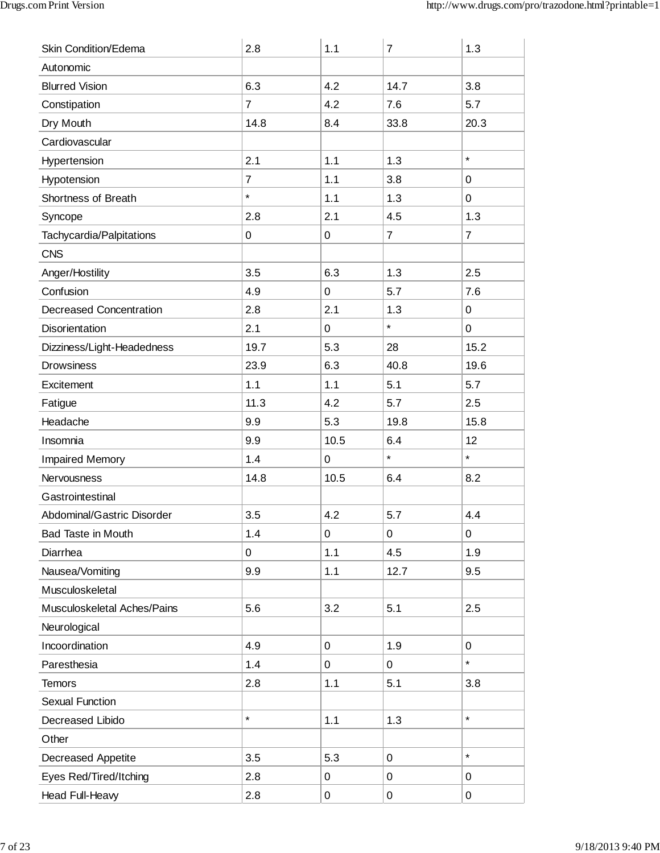| Skin Condition/Edema           | 2.8            | 1.1         | $\overline{7}$ | 1.3            |
|--------------------------------|----------------|-------------|----------------|----------------|
| Autonomic                      |                |             |                |                |
| <b>Blurred Vision</b>          | 6.3            | 4.2         | 14.7           | 3.8            |
| Constipation                   | $\overline{7}$ | 4.2         | 7.6            | 5.7            |
| Dry Mouth                      | 14.8           | 8.4         | 33.8           | 20.3           |
| Cardiovascular                 |                |             |                |                |
| Hypertension                   | 2.1            | 1.1         | 1.3            | $\star$        |
| Hypotension                    | $\overline{7}$ | 1.1         | 3.8            | 0              |
| Shortness of Breath            | $\star$        | 1.1         | 1.3            | $\mathbf 0$    |
| Syncope                        | 2.8            | 2.1         | 4.5            | 1.3            |
| Tachycardia/Palpitations       | 0              | $\pmb{0}$   | 7              | $\overline{7}$ |
| <b>CNS</b>                     |                |             |                |                |
| Anger/Hostility                | 3.5            | 6.3         | 1.3            | 2.5            |
| Confusion                      | 4.9            | 0           | 5.7            | 7.6            |
| <b>Decreased Concentration</b> | 2.8            | 2.1         | 1.3            | 0              |
| Disorientation                 | 2.1            | 0           | $\star$        | $\mathbf 0$    |
| Dizziness/Light-Headedness     | 19.7           | 5.3         | 28             | 15.2           |
| <b>Drowsiness</b>              | 23.9           | 6.3         | 40.8           | 19.6           |
| Excitement                     | 1.1            | 1.1         | 5.1            | 5.7            |
| Fatigue                        | 11.3           | 4.2         | 5.7            | 2.5            |
| Headache                       | 9.9            | 5.3         | 19.8           | 15.8           |
| Insomnia                       | 9.9            | 10.5        | 6.4            | 12             |
| Impaired Memory                | 1.4            | 0           | $\star$        | $\star$        |
| <b>Nervousness</b>             | 14.8           | 10.5        | 6.4            | 8.2            |
| Gastrointestinal               |                |             |                |                |
| Abdominal/Gastric Disorder     | 3.5            | 4.2         | 5.7            | 4.4            |
| <b>Bad Taste in Mouth</b>      | 1.4            | 0           | 0              | $\mathbf 0$    |
| Diarrhea                       | 0              | 1.1         | 4.5            | 1.9            |
| Nausea/Vomiting                | 9.9            | 1.1         | 12.7           | 9.5            |
| Musculoskeletal                |                |             |                |                |
| Musculoskeletal Aches/Pains    | 5.6            | 3.2         | 5.1            | 2.5            |
| Neurological                   |                |             |                |                |
| Incoordination                 | 4.9            | $\pmb{0}$   | 1.9            | $\mathbf 0$    |
| Paresthesia                    | 1.4            | $\mathbf 0$ | 0              | $\star$        |
| <b>Temors</b>                  | 2.8            | 1.1         | 5.1            | 3.8            |
| <b>Sexual Function</b>         |                |             |                |                |
| Decreased Libido               | $\star$        | 1.1         | 1.3            | $\star$        |
| Other                          |                |             |                |                |
| Decreased Appetite             | 3.5            | 5.3         | 0              | $\star$        |
| Eyes Red/Tired/Itching         | 2.8            | 0           | 0              | 0              |
| Head Full-Heavy                | 2.8            | $\pmb{0}$   | 0              | $\pmb{0}$      |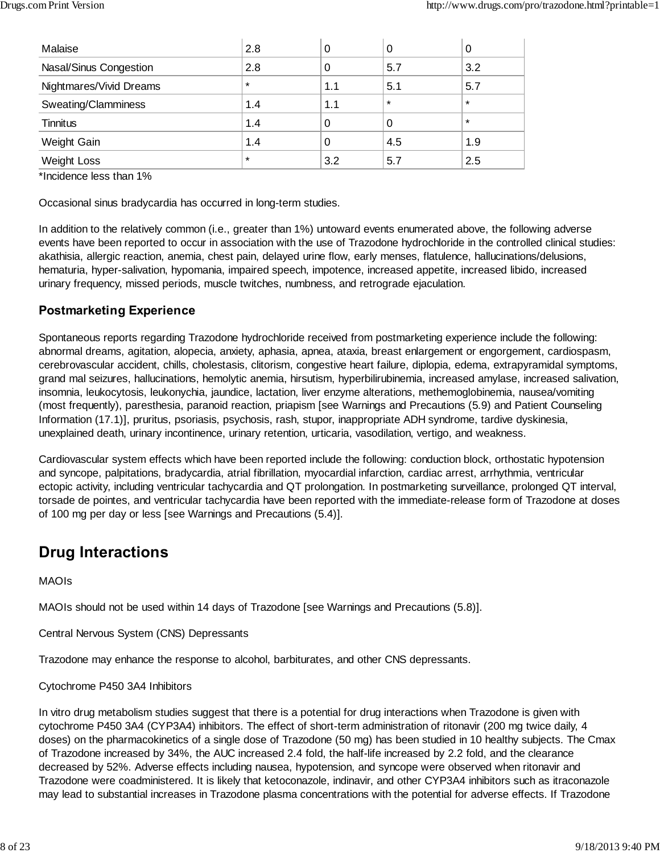| Malaise                 | 2.8     | 0   | 0       | 0       |
|-------------------------|---------|-----|---------|---------|
| Nasal/Sinus Congestion  | 2.8     | 0   | 5.7     | 3.2     |
| Nightmares/Vivid Dreams | $\star$ | 1.1 | 5.1     | 5.7     |
| Sweating/Clamminess     | 1.4     | 1.1 | $\star$ | $\star$ |
| Tinnitus                | 1.4     | 0   | 0       | $\star$ |
| Weight Gain             | 1.4     | 0   | 4.5     | 1.9     |
| Weight Loss             | $\star$ | 3.2 | 5.7     | 2.5     |

\*Incidence less than 1%

Occasional sinus bradycardia has occurred in long-term studies.

In addition to the relatively common (i.e., greater than 1%) untoward events enumerated above, the following adverse events have been reported to occur in association with the use of Trazodone hydrochloride in the controlled clinical studies: akathisia, allergic reaction, anemia, chest pain, delayed urine flow, early menses, flatulence, hallucinations/delusions, hematuria, hyper-salivation, hypomania, impaired speech, impotence, increased appetite, increased libido, increased urinary frequency, missed periods, muscle twitches, numbness, and retrograde ejaculation.

#### **Postmarketing Experience**

Spontaneous reports regarding Trazodone hydrochloride received from postmarketing experience include the following: abnormal dreams, agitation, alopecia, anxiety, aphasia, apnea, ataxia, breast enlargement or engorgement, cardiospasm, cerebrovascular accident, chills, cholestasis, clitorism, congestive heart failure, diplopia, edema, extrapyramidal symptoms, grand mal seizures, hallucinations, hemolytic anemia, hirsutism, hyperbilirubinemia, increased amylase, increased salivation, insomnia, leukocytosis, leukonychia, jaundice, lactation, liver enzyme alterations, methemoglobinemia, nausea/vomiting (most frequently), paresthesia, paranoid reaction, priapism [see Warnings and Precautions (5.9) and Patient Counseling Information (17.1)], pruritus, psoriasis, psychosis, rash, stupor, inappropriate ADH syndrome, tardive dyskinesia, unexplained death, urinary incontinence, urinary retention, urticaria, vasodilation, vertigo, and weakness.

Cardiovascular system effects which have been reported include the following: conduction block, orthostatic hypotension and syncope, palpitations, bradycardia, atrial fibrillation, myocardial infarction, cardiac arrest, arrhythmia, ventricular ectopic activity, including ventricular tachycardia and QT prolongation. In postmarketing surveillance, prolonged QT interval, torsade de pointes, and ventricular tachycardia have been reported with the immediate-release form of Trazodone at doses of 100 mg per day or less [see Warnings and Precautions (5.4)].

# **Drug Interactions**

MAOIs

MAOIs should not be used within 14 days of Trazodone [see Warnings and Precautions (5.8)].

Central Nervous System (CNS) Depressants

Trazodone may enhance the response to alcohol, barbiturates, and other CNS depressants.

#### Cytochrome P450 3A4 Inhibitors

In vitro drug metabolism studies suggest that there is a potential for drug interactions when Trazodone is given with cytochrome P450 3A4 (CYP3A4) inhibitors. The effect of short-term administration of ritonavir (200 mg twice daily, 4 doses) on the pharmacokinetics of a single dose of Trazodone (50 mg) has been studied in 10 healthy subjects. The Cmax of Trazodone increased by 34%, the AUC increased 2.4 fold, the half-life increased by 2.2 fold, and the clearance decreased by 52%. Adverse effects including nausea, hypotension, and syncope were observed when ritonavir and Trazodone were coadministered. It is likely that ketoconazole, indinavir, and other CYP3A4 inhibitors such as itraconazole may lead to substantial increases in Trazodone plasma concentrations with the potential for adverse effects. If Trazodone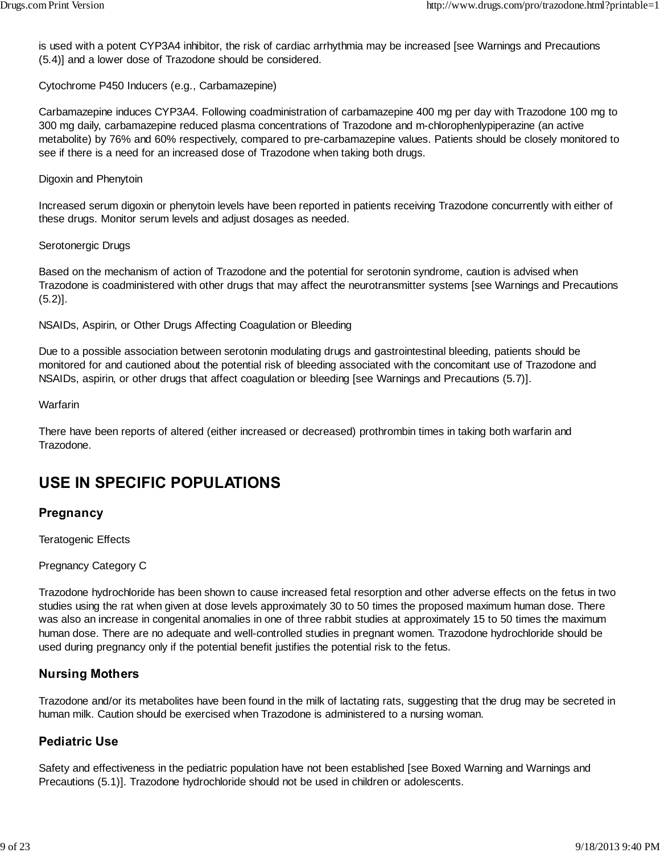is used with a potent CYP3A4 inhibitor, the risk of cardiac arrhythmia may be increased [see Warnings and Precautions (5.4)] and a lower dose of Trazodone should be considered.

Cytochrome P450 Inducers (e.g., Carbamazepine)

Carbamazepine induces CYP3A4. Following coadministration of carbamazepine 400 mg per day with Trazodone 100 mg to 300 mg daily, carbamazepine reduced plasma concentrations of Trazodone and m-chlorophenlypiperazine (an active metabolite) by 76% and 60% respectively, compared to pre-carbamazepine values. Patients should be closely monitored to see if there is a need for an increased dose of Trazodone when taking both drugs.

Digoxin and Phenytoin

Increased serum digoxin or phenytoin levels have been reported in patients receiving Trazodone concurrently with either of these drugs. Monitor serum levels and adjust dosages as needed.

Serotonergic Drugs

Based on the mechanism of action of Trazodone and the potential for serotonin syndrome, caution is advised when Trazodone is coadministered with other drugs that may affect the neurotransmitter systems [see Warnings and Precautions  $(5.2)$ ].

NSAIDs, Aspirin, or Other Drugs Affecting Coagulation or Bleeding

Due to a possible association between serotonin modulating drugs and gastrointestinal bleeding, patients should be monitored for and cautioned about the potential risk of bleeding associated with the concomitant use of Trazodone and NSAIDs, aspirin, or other drugs that affect coagulation or bleeding [see Warnings and Precautions (5.7)].

Warfarin

There have been reports of altered (either increased or decreased) prothrombin times in taking both warfarin and Trazodone.

# **USE IN SPECIFIC POPULATIONS**

### **Pregnancy**

Teratogenic Effects

Pregnancy Category C

Trazodone hydrochloride has been shown to cause increased fetal resorption and other adverse effects on the fetus in two studies using the rat when given at dose levels approximately 30 to 50 times the proposed maximum human dose. There was also an increase in congenital anomalies in one of three rabbit studies at approximately 15 to 50 times the maximum human dose. There are no adequate and well-controlled studies in pregnant women. Trazodone hydrochloride should be used during pregnancy only if the potential benefit justifies the potential risk to the fetus.

### **Nursing Mothers**

Trazodone and/or its metabolites have been found in the milk of lactating rats, suggesting that the drug may be secreted in human milk. Caution should be exercised when Trazodone is administered to a nursing woman.

## **Pediatric Use**

Safety and effectiveness in the pediatric population have not been established [see Boxed Warning and Warnings and Precautions (5.1)]. Trazodone hydrochloride should not be used in children or adolescents.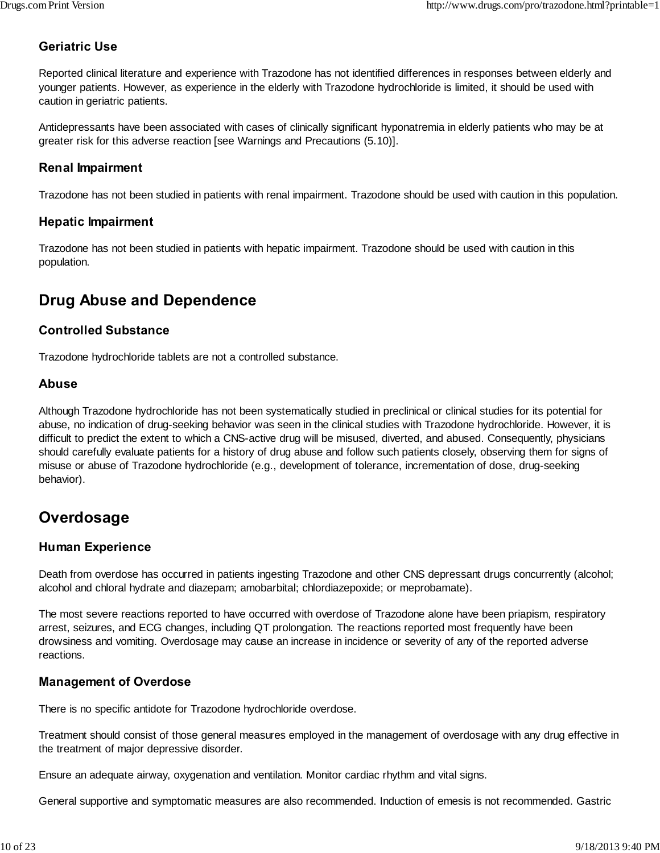## **Geriatric Use**

Reported clinical literature and experience with Trazodone has not identified differences in responses between elderly and younger patients. However, as experience in the elderly with Trazodone hydrochloride is limited, it should be used with caution in geriatric patients.

Antidepressants have been associated with cases of clinically significant hyponatremia in elderly patients who may be at greater risk for this adverse reaction [see Warnings and Precautions (5.10)].

## **Renal Impairment**

Trazodone has not been studied in patients with renal impairment. Trazodone should be used with caution in this population.

## **Hepatic Impairment**

Trazodone has not been studied in patients with hepatic impairment. Trazodone should be used with caution in this population.

# **Drug Abuse and Dependence**

### **Controlled Substance**

Trazodone hydrochloride tablets are not a controlled substance.

### **Abuse**

Although Trazodone hydrochloride has not been systematically studied in preclinical or clinical studies for its potential for abuse, no indication of drug-seeking behavior was seen in the clinical studies with Trazodone hydrochloride. However, it is difficult to predict the extent to which a CNS-active drug will be misused, diverted, and abused. Consequently, physicians should carefully evaluate patients for a history of drug abuse and follow such patients closely, observing them for signs of misuse or abuse of Trazodone hydrochloride (e.g., development of tolerance, incrementation of dose, drug-seeking behavior).

# **Overdosage**

### **Human Experience**

Death from overdose has occurred in patients ingesting Trazodone and other CNS depressant drugs concurrently (alcohol; alcohol and chloral hydrate and diazepam; amobarbital; chlordiazepoxide; or meprobamate).

The most severe reactions reported to have occurred with overdose of Trazodone alone have been priapism, respiratory arrest, seizures, and ECG changes, including QT prolongation. The reactions reported most frequently have been drowsiness and vomiting. Overdosage may cause an increase in incidence or severity of any of the reported adverse reactions.

### **Management of Overdose**

There is no specific antidote for Trazodone hydrochloride overdose.

Treatment should consist of those general measures employed in the management of overdosage with any drug effective in the treatment of major depressive disorder.

Ensure an adequate airway, oxygenation and ventilation. Monitor cardiac rhythm and vital signs.

General supportive and symptomatic measures are also recommended. Induction of emesis is not recommended. Gastric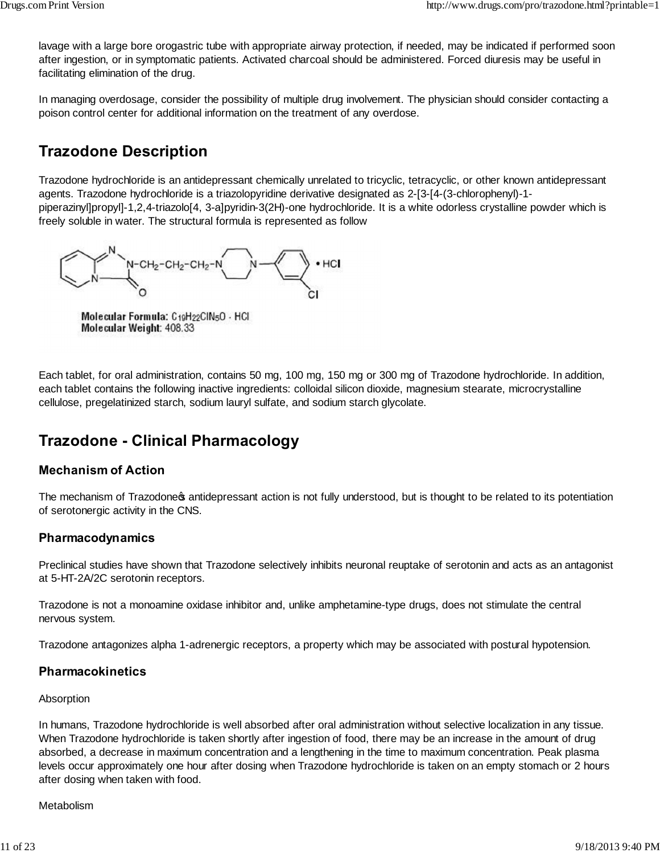lavage with a large bore orogastric tube with appropriate airway protection, if needed, may be indicated if performed soon after ingestion, or in symptomatic patients. Activated charcoal should be administered. Forced diuresis may be useful in facilitating elimination of the drug.

In managing overdosage, consider the possibility of multiple drug involvement. The physician should consider contacting a poison control center for additional information on the treatment of any overdose.

# **Trazodone Description**

Trazodone hydrochloride is an antidepressant chemically unrelated to tricyclic, tetracyclic, or other known antidepressant agents. Trazodone hydrochloride is a triazolopyridine derivative designated as 2-[3-[4-(3-chlorophenyl)-1 piperazinyl]propyl]-1,2,4-triazolo[4, 3-a]pyridin-3(2H)-one hydrochloride. It is a white odorless crystalline powder which is freely soluble in water. The structural formula is represented as follow

CH<sub>2</sub>-CH<sub>2</sub>-CH<sub>2</sub>

Molecular Formula: C19H22CIN5O - HCI Molecular Weight: 408.33

Each tablet, for oral administration, contains 50 mg, 100 mg, 150 mg or 300 mg of Trazodone hydrochloride. In addition, each tablet contains the following inactive ingredients: colloidal silicon dioxide, magnesium stearate, microcrystalline cellulose, pregelatinized starch, sodium lauryl sulfate, and sodium starch glycolate.

# **Trazodone - Clinical Pharmacology**

## **Mechanism of Action**

The mechanism of Trazodone antidepressant action is not fully understood, but is thought to be related to its potentiation of serotonergic activity in the CNS.

## **Pharmacodynamics**

Preclinical studies have shown that Trazodone selectively inhibits neuronal reuptake of serotonin and acts as an antagonist at 5-HT-2A/2C serotonin receptors.

Trazodone is not a monoamine oxidase inhibitor and, unlike amphetamine-type drugs, does not stimulate the central nervous system.

Trazodone antagonizes alpha 1-adrenergic receptors, a property which may be associated with postural hypotension.

## **Pharmacokinetics**

### Absorption

In humans, Trazodone hydrochloride is well absorbed after oral administration without selective localization in any tissue. When Trazodone hydrochloride is taken shortly after ingestion of food, there may be an increase in the amount of drug absorbed, a decrease in maximum concentration and a lengthening in the time to maximum concentration. Peak plasma levels occur approximately one hour after dosing when Trazodone hydrochloride is taken on an empty stomach or 2 hours after dosing when taken with food.

### Metabolism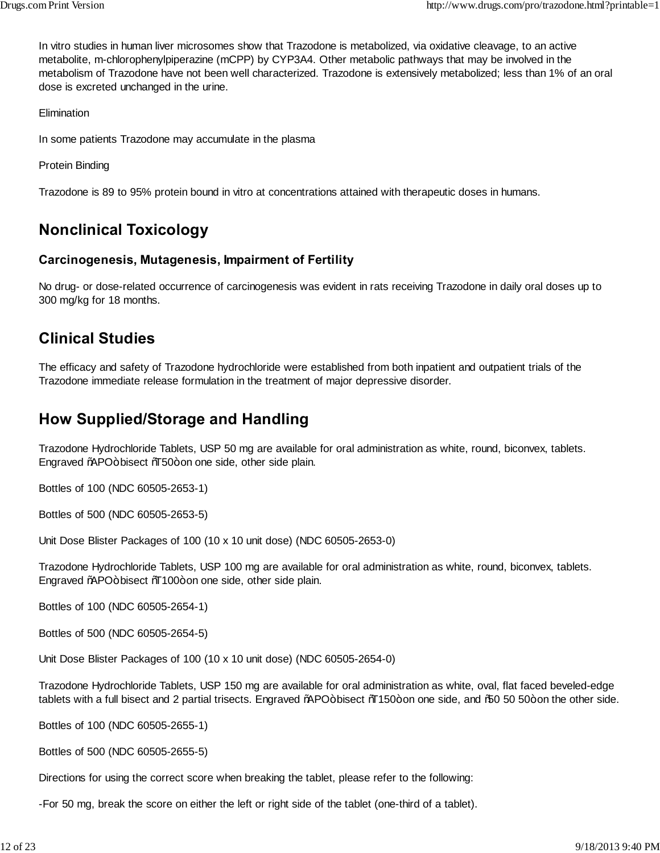In vitro studies in human liver microsomes show that Trazodone is metabolized, via oxidative cleavage, to an active metabolite, m-chlorophenylpiperazine (mCPP) by CYP3A4. Other metabolic pathways that may be involved in the metabolism of Trazodone have not been well characterized. Trazodone is extensively metabolized; less than 1% of an oral dose is excreted unchanged in the urine.

Elimination

In some patients Trazodone may accumulate in the plasma

Protein Binding

Trazodone is 89 to 95% protein bound in vitro at concentrations attained with therapeutic doses in humans.

# **Nonclinical Toxicology**

#### **Carcinogenesis, Mutagenesis, Impairment of Fertility**

No drug- or dose-related occurrence of carcinogenesis was evident in rats receiving Trazodone in daily oral doses up to 300 mg/kg for 18 months.

# **Clinical Studies**

The efficacy and safety of Trazodone hydrochloride were established from both inpatient and outpatient trials of the Trazodone immediate release formulation in the treatment of major depressive disorder.

## **How Supplied/Storage and Handling**

Trazodone Hydrochloride Tablets, USP 50 mg are available for oral administration as white, round, biconvex, tablets. Engraved %APO+ bisect %T50+ on one side, other side plain.

Bottles of 100 (NDC 60505-2653-1)

Bottles of 500 (NDC 60505-2653-5)

Unit Dose Blister Packages of 100 (10 x 10 unit dose) (NDC 60505-2653-0)

Trazodone Hydrochloride Tablets, USP 100 mg are available for oral administration as white, round, biconvex, tablets. Engraved %APO+ bisect %T100+ on one side, other side plain.

Bottles of 100 (NDC 60505-2654-1)

Bottles of 500 (NDC 60505-2654-5)

Unit Dose Blister Packages of 100 (10 x 10 unit dose) (NDC 60505-2654-0)

Trazodone Hydrochloride Tablets, USP 150 mg are available for oral administration as white, oval, flat faced beveled-edge tablets with a full bisect and 2 partial trisects. Engraved %PO+bisect %150+on one side, and %0 50 50+on the other side.

Bottles of 100 (NDC 60505-2655-1)

Bottles of 500 (NDC 60505-2655-5)

Directions for using the correct score when breaking the tablet, please refer to the following:

-For 50 mg, break the score on either the left or right side of the tablet (one-third of a tablet).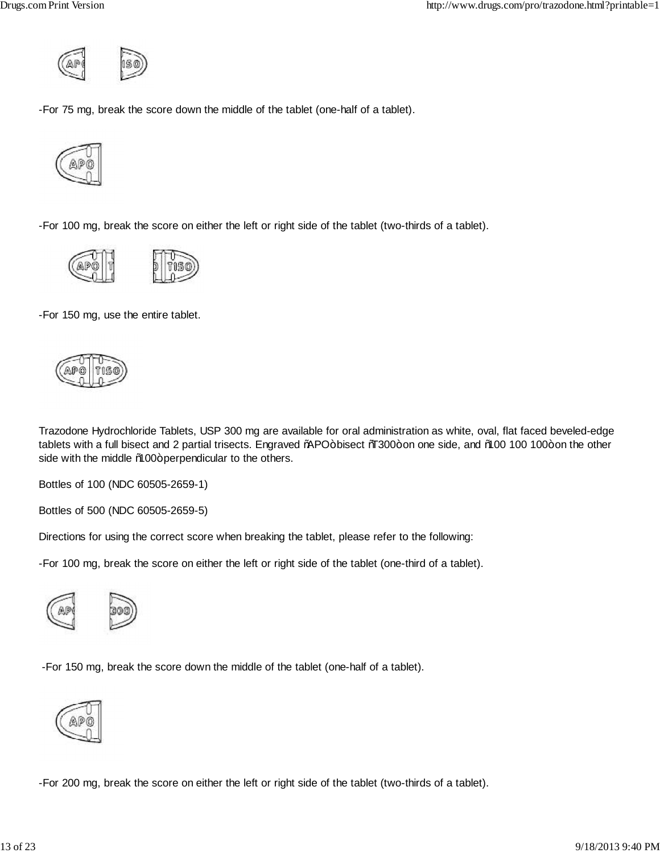

-For 75 mg, break the score down the middle of the tablet (one-half of a tablet).



-For 100 mg, break the score on either the left or right side of the tablet (two-thirds of a tablet).



-For 150 mg, use the entire tablet.



Trazodone Hydrochloride Tablets, USP 300 mg are available for oral administration as white, oval, flat faced beveled-edge tablets with a full bisect and 2 partial trisects. Engraved %PO+bisect %300+on one side, and %400 100 100+on the other side with the middle %400+ perpendicular to the others.

Bottles of 100 (NDC 60505-2659-1)

Bottles of 500 (NDC 60505-2659-5)

Directions for using the correct score when breaking the tablet, please refer to the following:

-For 100 mg, break the score on either the left or right side of the tablet (one-third of a tablet).



-For 150 mg, break the score down the middle of the tablet (one-half of a tablet).



-For 200 mg, break the score on either the left or right side of the tablet (two-thirds of a tablet).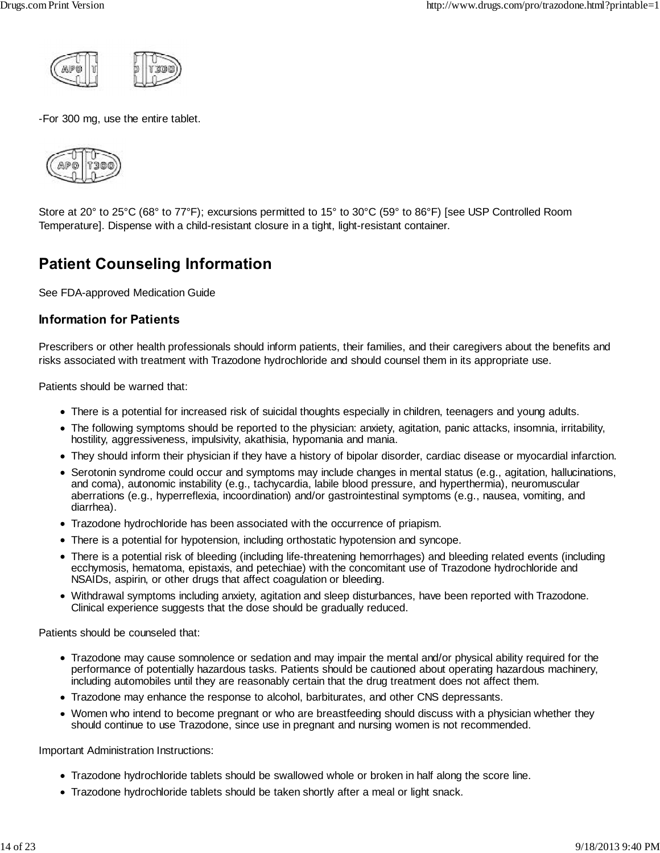

-For 300 mg, use the entire tablet.



Store at 20° to 25°C (68° to 77°F); excursions permitted to 15° to 30°C (59° to 86°F) [see USP Controlled Room Temperature]. Dispense with a child-resistant closure in a tight, light-resistant container.

# **Patient Counseling Information**

See FDA-approved Medication Guide

### **Information for Patients**

Prescribers or other health professionals should inform patients, their families, and their caregivers about the benefits and risks associated with treatment with Trazodone hydrochloride and should counsel them in its appropriate use.

Patients should be warned that:

- There is a potential for increased risk of suicidal thoughts especially in children, teenagers and young adults.
- The following symptoms should be reported to the physician: anxiety, agitation, panic attacks, insomnia, irritability, hostility, aggressiveness, impulsivity, akathisia, hypomania and mania.
- They should inform their physician if they have a history of bipolar disorder, cardiac disease or myocardial infarction.
- Serotonin syndrome could occur and symptoms may include changes in mental status (e.g., agitation, hallucinations, and coma), autonomic instability (e.g., tachycardia, labile blood pressure, and hyperthermia), neuromuscular aberrations (e.g., hyperreflexia, incoordination) and/or gastrointestinal symptoms (e.g., nausea, vomiting, and diarrhea).
- Trazodone hydrochloride has been associated with the occurrence of priapism.
- There is a potential for hypotension, including orthostatic hypotension and syncope.
- There is a potential risk of bleeding (including life-threatening hemorrhages) and bleeding related events (including ecchymosis, hematoma, epistaxis, and petechiae) with the concomitant use of Trazodone hydrochloride and NSAIDs, aspirin, or other drugs that affect coagulation or bleeding.
- Withdrawal symptoms including anxiety, agitation and sleep disturbances, have been reported with Trazodone. Clinical experience suggests that the dose should be gradually reduced.

Patients should be counseled that:

- Trazodone may cause somnolence or sedation and may impair the mental and/or physical ability required for the performance of potentially hazardous tasks. Patients should be cautioned about operating hazardous machinery, including automobiles until they are reasonably certain that the drug treatment does not affect them.
- Trazodone may enhance the response to alcohol, barbiturates, and other CNS depressants.
- Women who intend to become pregnant or who are breastfeeding should discuss with a physician whether they should continue to use Trazodone, since use in pregnant and nursing women is not recommended.

Important Administration Instructions:

- Trazodone hydrochloride tablets should be swallowed whole or broken in half along the score line.
- Trazodone hydrochloride tablets should be taken shortly after a meal or light snack.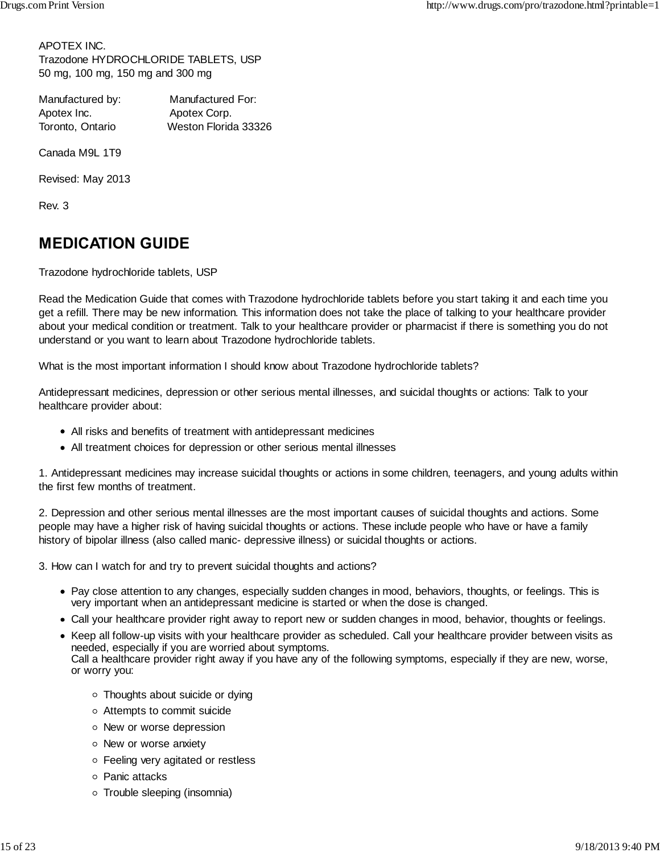APOTEX INC. Trazodone HYDROCHLORIDE TABLETS, USP 50 mg, 100 mg, 150 mg and 300 mg

| Manufactured by: | Manufactured For:    |
|------------------|----------------------|
| Apotex Inc.      | Apotex Corp.         |
| Toronto, Ontario | Weston Florida 33326 |

Canada M9L 1T9

Revised: May 2013

Rev. 3

# **MEDICATION GUIDE**

Trazodone hydrochloride tablets, USP

Read the Medication Guide that comes with Trazodone hydrochloride tablets before you start taking it and each time you get a refill. There may be new information. This information does not take the place of talking to your healthcare provider about your medical condition or treatment. Talk to your healthcare provider or pharmacist if there is something you do not understand or you want to learn about Trazodone hydrochloride tablets.

What is the most important information I should know about Trazodone hydrochloride tablets?

Antidepressant medicines, depression or other serious mental illnesses, and suicidal thoughts or actions: Talk to your healthcare provider about:

- All risks and benefits of treatment with antidepressant medicines
- All treatment choices for depression or other serious mental illnesses

1. Antidepressant medicines may increase suicidal thoughts or actions in some children, teenagers, and young adults within the first few months of treatment.

2. Depression and other serious mental illnesses are the most important causes of suicidal thoughts and actions. Some people may have a higher risk of having suicidal thoughts or actions. These include people who have or have a family history of bipolar illness (also called manic- depressive illness) or suicidal thoughts or actions.

3. How can I watch for and try to prevent suicidal thoughts and actions?

- Pay close attention to any changes, especially sudden changes in mood, behaviors, thoughts, or feelings. This is very important when an antidepressant medicine is started or when the dose is changed.
- Call your healthcare provider right away to report new or sudden changes in mood, behavior, thoughts or feelings.
- Keep all follow-up visits with your healthcare provider as scheduled. Call your healthcare provider between visits as needed, especially if you are worried about symptoms. Call a healthcare provider right away if you have any of the following symptoms, especially if they are new, worse, or worry you:
	- Thoughts about suicide or dying
	- Attempts to commit suicide
	- New or worse depression
	- $\circ$  New or worse anxiety
	- Feeling very agitated or restless
	- Panic attacks
	- Trouble sleeping (insomnia)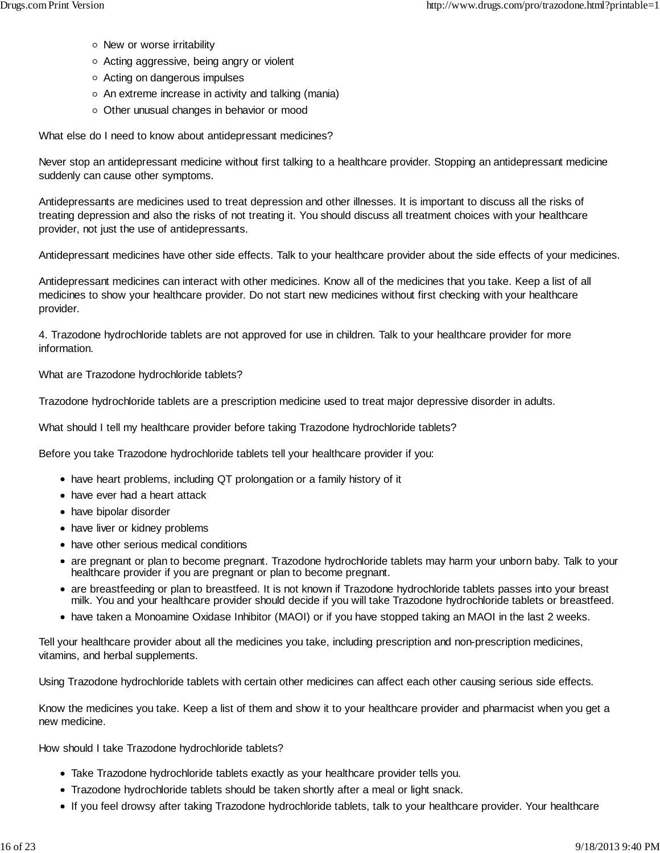- $\circ$  New or worse irritability
- $\circ$  Acting aggressive, being angry or violent
- Acting on dangerous impulses
- $\circ$  An extreme increase in activity and talking (mania)
- Other unusual changes in behavior or mood

What else do I need to know about antidepressant medicines?

Never stop an antidepressant medicine without first talking to a healthcare provider. Stopping an antidepressant medicine suddenly can cause other symptoms.

Antidepressants are medicines used to treat depression and other illnesses. It is important to discuss all the risks of treating depression and also the risks of not treating it. You should discuss all treatment choices with your healthcare provider, not just the use of antidepressants.

Antidepressant medicines have other side effects. Talk to your healthcare provider about the side effects of your medicines.

Antidepressant medicines can interact with other medicines. Know all of the medicines that you take. Keep a list of all medicines to show your healthcare provider. Do not start new medicines without first checking with your healthcare provider.

4. Trazodone hydrochloride tablets are not approved for use in children. Talk to your healthcare provider for more information.

What are Trazodone hydrochloride tablets?

Trazodone hydrochloride tablets are a prescription medicine used to treat major depressive disorder in adults.

What should I tell my healthcare provider before taking Trazodone hydrochloride tablets?

Before you take Trazodone hydrochloride tablets tell your healthcare provider if you:

- have heart problems, including QT prolongation or a family history of it
- have ever had a heart attack
- have bipolar disorder
- have liver or kidney problems
- have other serious medical conditions
- are pregnant or plan to become pregnant. Trazodone hydrochloride tablets may harm your unborn baby. Talk to your healthcare provider if you are pregnant or plan to become pregnant.
- are breastfeeding or plan to breastfeed. It is not known if Trazodone hydrochloride tablets passes into your breast milk. You and your healthcare provider should decide if you will take Trazodone hydrochloride tablets or breastfeed.
- have taken a Monoamine Oxidase Inhibitor (MAOI) or if you have stopped taking an MAOI in the last 2 weeks.

Tell your healthcare provider about all the medicines you take, including prescription and non-prescription medicines, vitamins, and herbal supplements.

Using Trazodone hydrochloride tablets with certain other medicines can affect each other causing serious side effects.

Know the medicines you take. Keep a list of them and show it to your healthcare provider and pharmacist when you get a new medicine.

How should I take Trazodone hydrochloride tablets?

- Take Trazodone hydrochloride tablets exactly as your healthcare provider tells you.
- Trazodone hydrochloride tablets should be taken shortly after a meal or light snack.
- If you feel drowsy after taking Trazodone hydrochloride tablets, talk to your healthcare provider. Your healthcare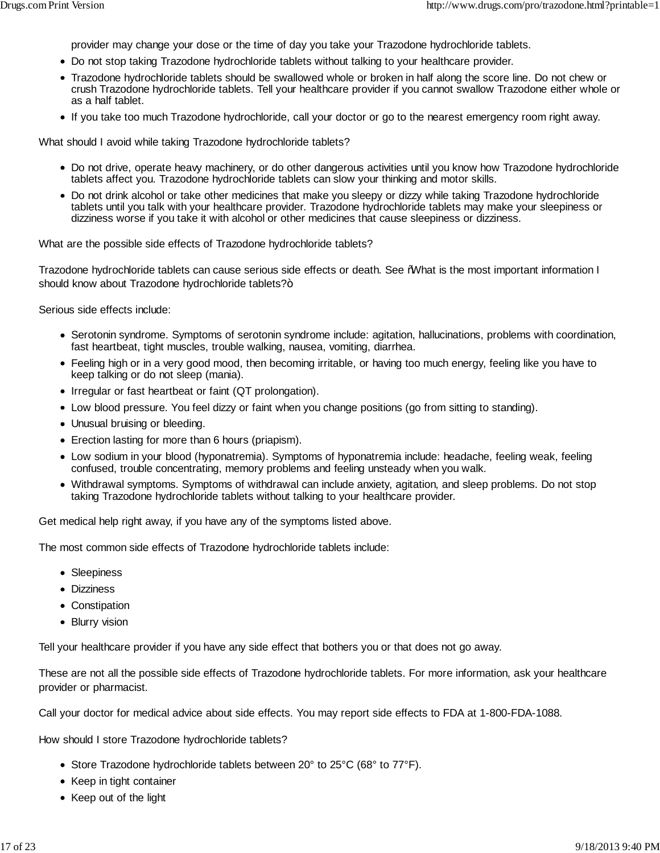provider may change your dose or the time of day you take your Trazodone hydrochloride tablets.

- Do not stop taking Trazodone hydrochloride tablets without talking to your healthcare provider.
- Trazodone hydrochloride tablets should be swallowed whole or broken in half along the score line. Do not chew or crush Trazodone hydrochloride tablets. Tell your healthcare provider if you cannot swallow Trazodone either whole or as a half tablet.
- If you take too much Trazodone hydrochloride, call your doctor or go to the nearest emergency room right away.

What should I avoid while taking Trazodone hydrochloride tablets?

- Do not drive, operate heavy machinery, or do other dangerous activities until you know how Trazodone hydrochloride tablets affect you. Trazodone hydrochloride tablets can slow your thinking and motor skills.
- Do not drink alcohol or take other medicines that make you sleepy or dizzy while taking Trazodone hydrochloride tablets until you talk with your healthcare provider. Trazodone hydrochloride tablets may make your sleepiness or dizziness worse if you take it with alcohol or other medicines that cause sleepiness or dizziness.

What are the possible side effects of Trazodone hydrochloride tablets?

Trazodone hydrochloride tablets can cause serious side effects or death. See "What is the most important information I should know about Trazodone hydrochloride tablets?+

Serious side effects include:

- Serotonin syndrome. Symptoms of serotonin syndrome include: agitation, hallucinations, problems with coordination, fast heartbeat, tight muscles, trouble walking, nausea, vomiting, diarrhea.
- Feeling high or in a very good mood, then becoming irritable, or having too much energy, feeling like you have to keep talking or do not sleep (mania).
- Irregular or fast heartbeat or faint (QT prolongation).
- Low blood pressure. You feel dizzy or faint when you change positions (go from sitting to standing).
- Unusual bruising or bleeding.
- Erection lasting for more than 6 hours (priapism).
- Low sodium in your blood (hyponatremia). Symptoms of hyponatremia include: headache, feeling weak, feeling confused, trouble concentrating, memory problems and feeling unsteady when you walk.
- Withdrawal symptoms. Symptoms of withdrawal can include anxiety, agitation, and sleep problems. Do not stop taking Trazodone hydrochloride tablets without talking to your healthcare provider.

Get medical help right away, if you have any of the symptoms listed above.

The most common side effects of Trazodone hydrochloride tablets include:

- Sleepiness
- Dizziness
- Constipation
- Blurry vision

Tell your healthcare provider if you have any side effect that bothers you or that does not go away.

These are not all the possible side effects of Trazodone hydrochloride tablets. For more information, ask your healthcare provider or pharmacist.

Call your doctor for medical advice about side effects. You may report side effects to FDA at 1-800-FDA-1088.

How should I store Trazodone hydrochloride tablets?

- Store Trazodone hydrochloride tablets between 20° to 25°C (68° to 77°F).
- Keep in tight container
- Keep out of the light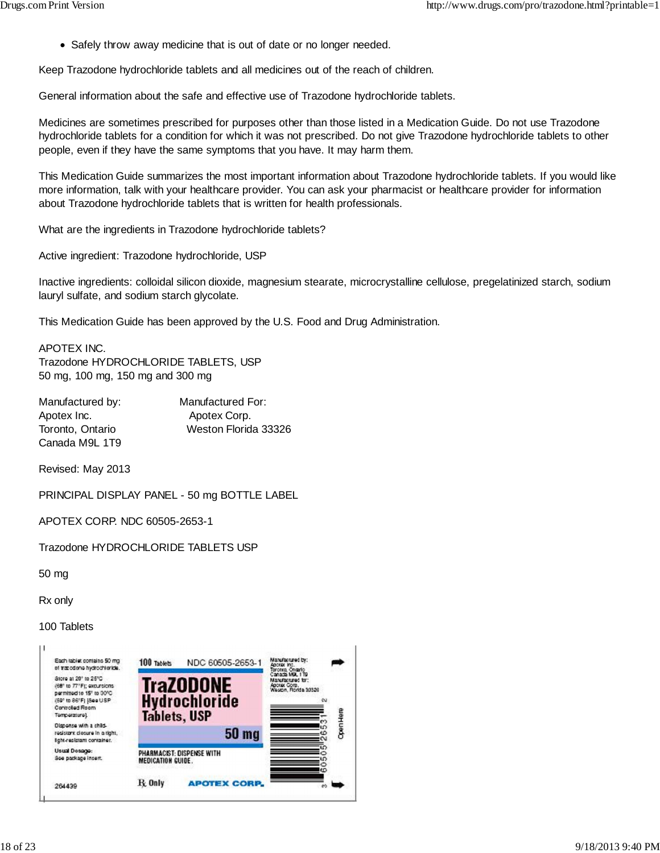Safely throw away medicine that is out of date or no longer needed.

Keep Trazodone hydrochloride tablets and all medicines out of the reach of children.

General information about the safe and effective use of Trazodone hydrochloride tablets.

Medicines are sometimes prescribed for purposes other than those listed in a Medication Guide. Do not use Trazodone hydrochloride tablets for a condition for which it was not prescribed. Do not give Trazodone hydrochloride tablets to other people, even if they have the same symptoms that you have. It may harm them.

This Medication Guide summarizes the most important information about Trazodone hydrochloride tablets. If you would like more information, talk with your healthcare provider. You can ask your pharmacist or healthcare provider for information about Trazodone hydrochloride tablets that is written for health professionals.

What are the ingredients in Trazodone hydrochloride tablets?

Active ingredient: Trazodone hydrochloride, USP

Inactive ingredients: colloidal silicon dioxide, magnesium stearate, microcrystalline cellulose, pregelatinized starch, sodium lauryl sulfate, and sodium starch glycolate.

This Medication Guide has been approved by the U.S. Food and Drug Administration.

APOTEX INC.

Trazodone HYDROCHLORIDE TABLETS, USP 50 mg, 100 mg, 150 mg and 300 mg

| Manufactured by: | Manufactured For:    |
|------------------|----------------------|
| Apotex Inc.      | Apotex Corp.         |
| Toronto, Ontario | Weston Florida 33326 |
| Canada M9L 1T9   |                      |

Revised: May 2013

PRINCIPAL DISPLAY PANEL - 50 mg BOTTLE LABEL

APOTEX CORP. NDC 60505-2653-1

Trazodone HYDROCHLORIDE TABLETS USP

50 mg

Rx only

100 Tablets

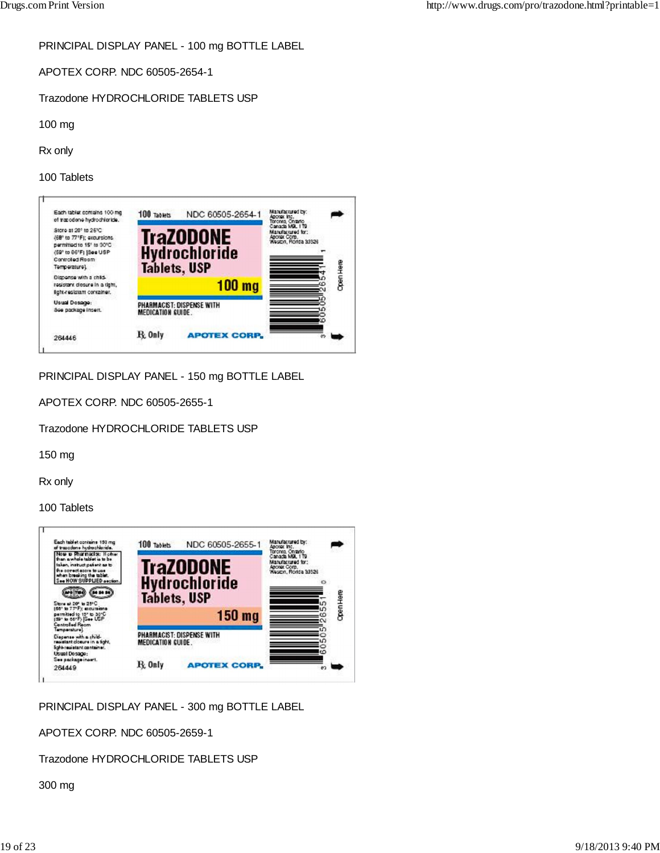PRINCIPAL DISPLAY PANEL - 100 mg BOTTLE LABEL

APOTEX CORP. NDC 60505-2654-1

Trazodone HYDROCHLORIDE TABLETS USP

100 mg

Rx only

100 Tablets



PRINCIPAL DISPLAY PANEL - 150 mg BOTTLE LABEL

APOTEX CORP. NDC 60505-2655-1

Trazodone HYDROCHLORIDE TABLETS USP

150 mg

Rx only

100 Tablets



PRINCIPAL DISPLAY PANEL - 300 mg BOTTLE LABEL

APOTEX CORP. NDC 60505-2659-1

Trazodone HYDROCHLORIDE TABLETS USP

300 mg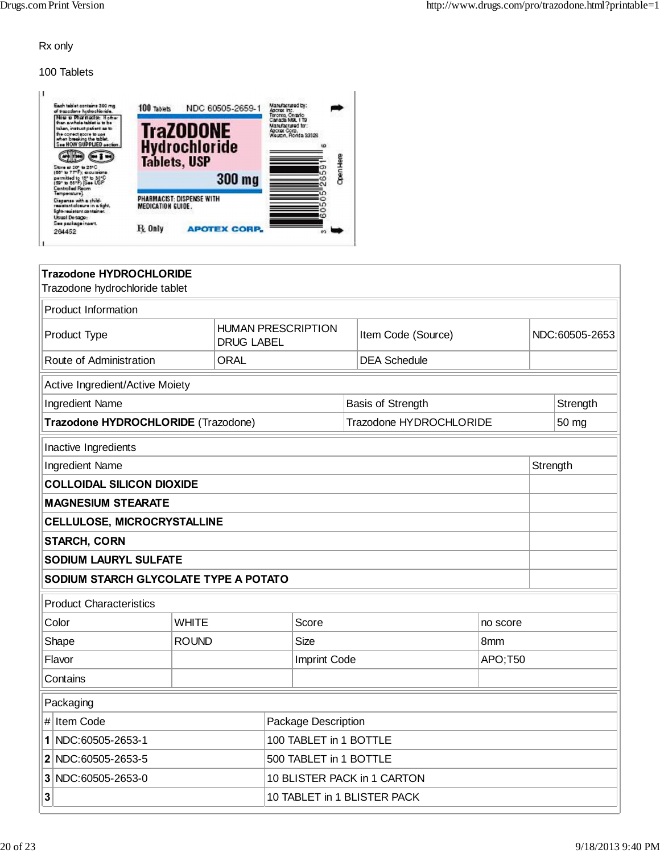Rx only

#### 100 Tablets



| <b>Trazodone HYDROCHLORIDE</b><br>Trazodone hydrochloride tablet        |                                            |                                                |                             |  |                     |  |                             |          |          |                |
|-------------------------------------------------------------------------|--------------------------------------------|------------------------------------------------|-----------------------------|--|---------------------|--|-----------------------------|----------|----------|----------------|
| <b>Product Information</b>                                              |                                            |                                                |                             |  |                     |  |                             |          |          |                |
|                                                                         | Product Type                               | <b>HUMAN PRESCRIPTION</b><br><b>DRUG LABEL</b> |                             |  |                     |  | Item Code (Source)          |          |          | NDC:60505-2653 |
|                                                                         | Route of Administration                    |                                                | <b>DEA Schedule</b><br>ORAL |  |                     |  |                             |          |          |                |
|                                                                         | Active Ingredient/Active Moiety            |                                                |                             |  |                     |  |                             |          |          |                |
| Strength<br><b>Ingredient Name</b><br><b>Basis of Strength</b>          |                                            |                                                |                             |  |                     |  |                             |          |          |                |
| Trazodone HYDROCHLORIDE<br>Trazodone HYDROCHLORIDE (Trazodone)<br>50 mg |                                            |                                                |                             |  |                     |  |                             |          |          |                |
|                                                                         | Inactive Ingredients                       |                                                |                             |  |                     |  |                             |          |          |                |
|                                                                         | <b>Ingredient Name</b>                     |                                                |                             |  |                     |  |                             |          | Strength |                |
|                                                                         | <b>COLLOIDAL SILICON DIOXIDE</b>           |                                                |                             |  |                     |  |                             |          |          |                |
|                                                                         | <b>MAGNESIUM STEARATE</b>                  |                                                |                             |  |                     |  |                             |          |          |                |
|                                                                         | <b>CELLULOSE, MICROCRYSTALLINE</b>         |                                                |                             |  |                     |  |                             |          |          |                |
|                                                                         | <b>STARCH, CORN</b>                        |                                                |                             |  |                     |  |                             |          |          |                |
|                                                                         | <b>SODIUM LAURYL SULFATE</b>               |                                                |                             |  |                     |  |                             |          |          |                |
|                                                                         | SODIUM STARCH GLYCOLATE TYPE A POTATO      |                                                |                             |  |                     |  |                             |          |          |                |
|                                                                         | <b>Product Characteristics</b>             |                                                |                             |  |                     |  |                             |          |          |                |
|                                                                         | Color                                      | <b>WHITE</b>                                   |                             |  | Score               |  |                             | no score |          |                |
|                                                                         | Shape                                      | <b>ROUND</b>                                   |                             |  | <b>Size</b>         |  |                             | 8mm      |          |                |
|                                                                         | Flavor                                     |                                                |                             |  | Imprint Code        |  |                             | APO; T50 |          |                |
|                                                                         | Contains                                   |                                                |                             |  |                     |  |                             |          |          |                |
|                                                                         | Packaging                                  |                                                |                             |  |                     |  |                             |          |          |                |
|                                                                         | # Item Code                                |                                                |                             |  | Package Description |  |                             |          |          |                |
| 1                                                                       | 100 TABLET in 1 BOTTLE<br>NDC:60505-2653-1 |                                                |                             |  |                     |  |                             |          |          |                |
| 2                                                                       | NDC:60505-2653-5<br>500 TABLET in 1 BOTTLE |                                                |                             |  |                     |  |                             |          |          |                |
| 3                                                                       | NDC:60505-2653-0                           |                                                |                             |  |                     |  | 10 BLISTER PACK in 1 CARTON |          |          |                |
| 3                                                                       |                                            |                                                |                             |  |                     |  | 10 TABLET in 1 BLISTER PACK |          |          |                |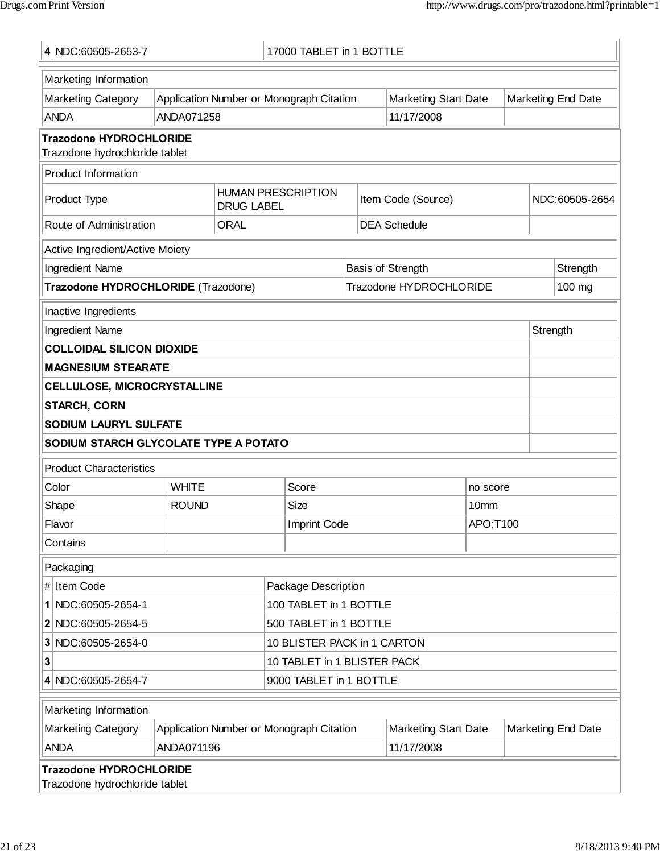| 4 NDC:60505-2653-7<br>17000 TABLET in 1 BOTTLE                   |              |                                                |                             |                  |                             |          |  |                    |
|------------------------------------------------------------------|--------------|------------------------------------------------|-----------------------------|------------------|-----------------------------|----------|--|--------------------|
| Marketing Information                                            |              |                                                |                             |                  |                             |          |  |                    |
| <b>Marketing Category</b>                                        |              | Application Number or Monograph Citation       |                             |                  | <b>Marketing Start Date</b> |          |  | Marketing End Date |
| <b>ANDA</b>                                                      | ANDA071258   |                                                |                             |                  | 11/17/2008                  |          |  |                    |
| <b>Trazodone HYDROCHLORIDE</b><br>Trazodone hydrochloride tablet |              |                                                |                             |                  |                             |          |  |                    |
| <b>Product Information</b>                                       |              |                                                |                             |                  |                             |          |  |                    |
| Product Type                                                     |              | <b>HUMAN PRESCRIPTION</b><br><b>DRUG LABEL</b> |                             |                  | Item Code (Source)          |          |  | NDC:60505-2654     |
| Route of Administration                                          |              | <b>ORAL</b>                                    |                             |                  | <b>DEA Schedule</b>         |          |  |                    |
| Active Ingredient/Active Moiety                                  |              |                                                |                             |                  |                             |          |  |                    |
| <b>Ingredient Name</b>                                           |              |                                                |                             |                  | <b>Basis of Strength</b>    |          |  | Strength           |
| Trazodone HYDROCHLORIDE (Trazodone)                              |              |                                                |                             |                  | Trazodone HYDROCHLORIDE     |          |  | 100 mg             |
| Inactive Ingredients                                             |              |                                                |                             |                  |                             |          |  |                    |
| <b>Ingredient Name</b>                                           |              |                                                |                             |                  |                             |          |  | Strength           |
| <b>COLLOIDAL SILICON DIOXIDE</b>                                 |              |                                                |                             |                  |                             |          |  |                    |
| <b>MAGNESIUM STEARATE</b>                                        |              |                                                |                             |                  |                             |          |  |                    |
| CELLULOSE, MICROCRYSTALLINE                                      |              |                                                |                             |                  |                             |          |  |                    |
| <b>STARCH, CORN</b>                                              |              |                                                |                             |                  |                             |          |  |                    |
| SODIUM LAURYL SULFATE                                            |              |                                                |                             |                  |                             |          |  |                    |
| SODIUM STARCH GLYCOLATE TYPE A POTATO                            |              |                                                |                             |                  |                             |          |  |                    |
| <b>Product Characteristics</b>                                   |              |                                                |                             |                  |                             |          |  |                    |
| Color                                                            | <b>WHITE</b> |                                                | Score                       |                  |                             | no score |  |                    |
| Shape                                                            | <b>ROUND</b> |                                                | Size                        | 10 <sub>mm</sub> |                             |          |  |                    |
| Flavor                                                           |              |                                                | Imprint Code                | APO;T100         |                             |          |  |                    |
| Contains                                                         |              |                                                |                             |                  |                             |          |  |                    |
| Packaging                                                        |              |                                                |                             |                  |                             |          |  |                    |
| # Item Code                                                      |              |                                                | Package Description         |                  |                             |          |  |                    |
| 1 NDC:60505-2654-1                                               |              |                                                | 100 TABLET in 1 BOTTLE      |                  |                             |          |  |                    |
| 2 NDC:60505-2654-5                                               |              |                                                | 500 TABLET in 1 BOTTLE      |                  |                             |          |  |                    |
| 3 NDC:60505-2654-0                                               |              |                                                | 10 BLISTER PACK in 1 CARTON |                  |                             |          |  |                    |
| 3                                                                |              |                                                | 10 TABLET in 1 BLISTER PACK |                  |                             |          |  |                    |
| 4 NDC:60505-2654-7                                               |              |                                                | 9000 TABLET in 1 BOTTLE     |                  |                             |          |  |                    |
| Marketing Information                                            |              |                                                |                             |                  |                             |          |  |                    |
| <b>Marketing Category</b>                                        |              | Application Number or Monograph Citation       |                             |                  | <b>Marketing Start Date</b> |          |  | Marketing End Date |
| <b>ANDA</b>                                                      | ANDA071196   |                                                |                             |                  | 11/17/2008                  |          |  |                    |
| <b>Trazodone HYDROCHLORIDE</b><br>Trazodone hydrochloride tablet |              |                                                |                             |                  |                             |          |  |                    |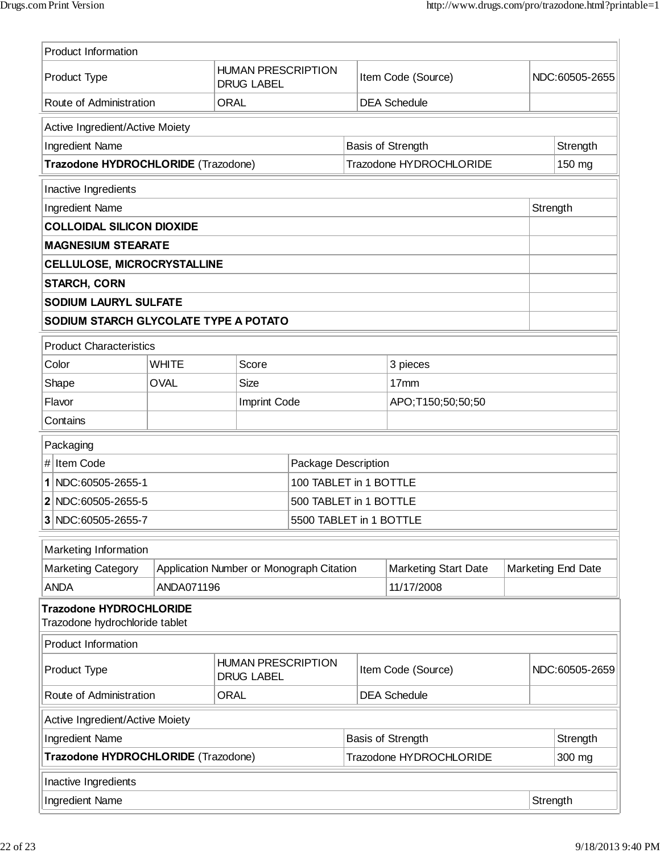| <b>Product Information</b>                                       |                                    |                                                |                         |                    |                    |                             |  |          |                    |
|------------------------------------------------------------------|------------------------------------|------------------------------------------------|-------------------------|--------------------|--------------------|-----------------------------|--|----------|--------------------|
| Product Type                                                     | <b>HUMAN PRESCRIPTION</b>          |                                                |                         | Item Code (Source) |                    | NDC:60505-2655              |  |          |                    |
| Route of Administration                                          | <b>ORAL</b><br><b>DEA Schedule</b> |                                                |                         |                    |                    |                             |  |          |                    |
| Active Ingredient/Active Moiety                                  |                                    |                                                |                         |                    |                    |                             |  |          |                    |
| <b>Ingredient Name</b>                                           |                                    |                                                |                         |                    |                    | Basis of Strength           |  |          | Strength           |
| Trazodone HYDROCHLORIDE (Trazodone)                              |                                    |                                                |                         |                    |                    | Trazodone HYDROCHLORIDE     |  |          | 150 mg             |
| Inactive Ingredients                                             |                                    |                                                |                         |                    |                    |                             |  |          |                    |
| Ingredient Name                                                  |                                    |                                                |                         |                    |                    |                             |  | Strength |                    |
| <b>COLLOIDAL SILICON DIOXIDE</b>                                 |                                    |                                                |                         |                    |                    |                             |  |          |                    |
| <b>MAGNESIUM STEARATE</b>                                        |                                    |                                                |                         |                    |                    |                             |  |          |                    |
| CELLULOSE, MICROCRYSTALLINE                                      |                                    |                                                |                         |                    |                    |                             |  |          |                    |
| <b>STARCH, CORN</b>                                              |                                    |                                                |                         |                    |                    |                             |  |          |                    |
| SODIUM LAURYL SULFATE                                            |                                    |                                                |                         |                    |                    |                             |  |          |                    |
| SODIUM STARCH GLYCOLATE TYPE A POTATO                            |                                    |                                                |                         |                    |                    |                             |  |          |                    |
| <b>Product Characteristics</b>                                   |                                    |                                                |                         |                    |                    |                             |  |          |                    |
| Color                                                            | <b>WHITE</b>                       | Score                                          |                         |                    |                    | 3 pieces                    |  |          |                    |
| Shape                                                            | <b>OVAL</b>                        | <b>Size</b>                                    |                         |                    |                    | 17 <sub>mm</sub>            |  |          |                    |
| Flavor                                                           |                                    | Imprint Code                                   |                         |                    | APO;T150;50;50;50  |                             |  |          |                    |
| Contains                                                         |                                    |                                                |                         |                    |                    |                             |  |          |                    |
| Packaging                                                        |                                    |                                                |                         |                    |                    |                             |  |          |                    |
| # Item Code                                                      |                                    |                                                | Package Description     |                    |                    |                             |  |          |                    |
| 1 NDC:60505-2655-1                                               |                                    |                                                | 100 TABLET in 1 BOTTLE  |                    |                    |                             |  |          |                    |
| 2 NDC:60505-2655-5                                               |                                    |                                                | 500 TABLET in 1 BOTTLE  |                    |                    |                             |  |          |                    |
| $3 NDC:60505-2655-7$                                             |                                    |                                                | 5500 TABLET in 1 BOTTLE |                    |                    |                             |  |          |                    |
| Marketing Information                                            |                                    |                                                |                         |                    |                    |                             |  |          |                    |
| <b>Marketing Category</b>                                        |                                    | Application Number or Monograph Citation       |                         |                    |                    | <b>Marketing Start Date</b> |  |          | Marketing End Date |
| <b>ANDA</b>                                                      | ANDA071196                         |                                                |                         |                    |                    | 11/17/2008                  |  |          |                    |
| <b>Trazodone HYDROCHLORIDE</b><br>Trazodone hydrochloride tablet |                                    |                                                |                         |                    |                    |                             |  |          |                    |
| Product Information                                              |                                    |                                                |                         |                    |                    |                             |  |          |                    |
| Product Type                                                     |                                    | <b>HUMAN PRESCRIPTION</b><br><b>DRUG LABEL</b> |                         |                    | Item Code (Source) |                             |  |          | NDC:60505-2659     |
| Route of Administration                                          |                                    | <b>ORAL</b>                                    |                         |                    |                    | <b>DEA Schedule</b>         |  |          |                    |
| Active Ingredient/Active Moiety                                  |                                    |                                                |                         |                    |                    |                             |  |          |                    |
| Ingredient Name                                                  |                                    |                                                |                         |                    |                    | Basis of Strength           |  |          | Strength           |
| Trazodone HYDROCHLORIDE (Trazodone)                              |                                    |                                                |                         |                    |                    | Trazodone HYDROCHLORIDE     |  |          | 300 mg             |
| Inactive Ingredients                                             |                                    |                                                |                         |                    |                    |                             |  |          |                    |
| <b>Ingredient Name</b>                                           |                                    |                                                |                         |                    |                    |                             |  | Strength |                    |